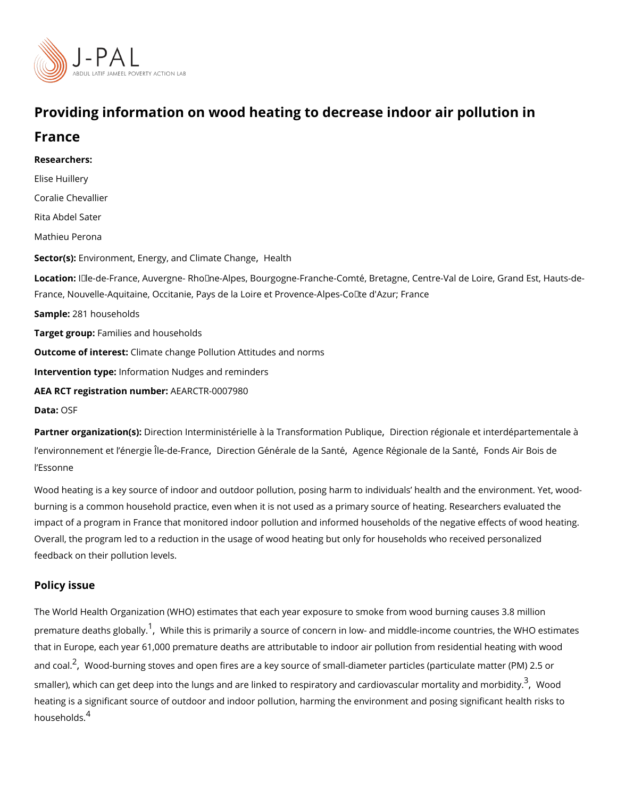# Providing information on wood heating to decrease indoor a

### France

Researchers: [Elise Hu](https://www.povertyactionlab.org/person/huillery)illery Coralie Chevallier Rita Abdel Sater Mathieu Perona Sector(Est) vironment[,](https://www.povertyactionlab.org/sector/environment-energy-climate-change) Energy, and Climine and hChange Locatioh: le - de - France, Auvergne - Rho ne - Alpes, Bourgogne - Franche - Comte, Bretagne, Ce France, Nouvelle-Aquitaine, Occitanie, Pays de la Loire et Provence-Alpes-Co te d'Azur; l Sample: 81 households Target grolamilies and households Outcome of inte Ceismate change Pollution Attitudes and norms Intervention typpfeo: rmation Nudges and reminders AEA RCT registration ArEuAnRbCeTR-0007980 Data[OS](https://osf.io/5br8y)F

Partner organizatDoine(st): On Interministérielle à la Transforme attion région de et interdéparte [l environnement et l énergi](https://www.povertyactionlab.org/partners/direction-regionale-et-interdepartementale-lenvironnement-et-lenergie-ile-de-france)e Dili**ee d**teio FiraGnec en e ra le[,](https://www.povertyactionlab.org/partners/agence-regionale-de-la-sante) **Ale ela c S**a Rholegiona le de olnad Sa Anitre Bois de [l Esso](https://www.povertyactionlab.org/partners/fonds-air-bois-de-lessonne)nne

Wood heating is a key source of indoor and outdoor pollution, posing harm to individuals burning is a common household practice, even when it is not used as a primary source of impact of a program in France that monitored indoor pollution and informed households of Overall, the program led to a reduction in the usage of wood heating but only for househo feedback on their pollution levels.

#### Policy issue

The World Health Organization (WHO) estimates that each year exposure to smoke from w premature deaths <sup>[1](#page-3-0)</sup>gl Wohall by this is primarily a source of concern in low- and middle-income that in Europe, each year 61,000 premature deaths are attributable to indoor air pollution and  $c\,\hat{\sigma}$  $c\,\hat{\sigma}$  $c\,\hat{\sigma}$ alWood-burning stoves and open fires are a key source of small-diameter particles  $s$ maller)[,](#page-3-0) which can get deep into the lungs and are linked to respiratory an $\mathrm{\mathring{d}}_i$  Maodidovascu heating is a significant source of outdoor and indoor pollution, harming the environment a  $h \circ u \circ e \circ h \circ f \circ f$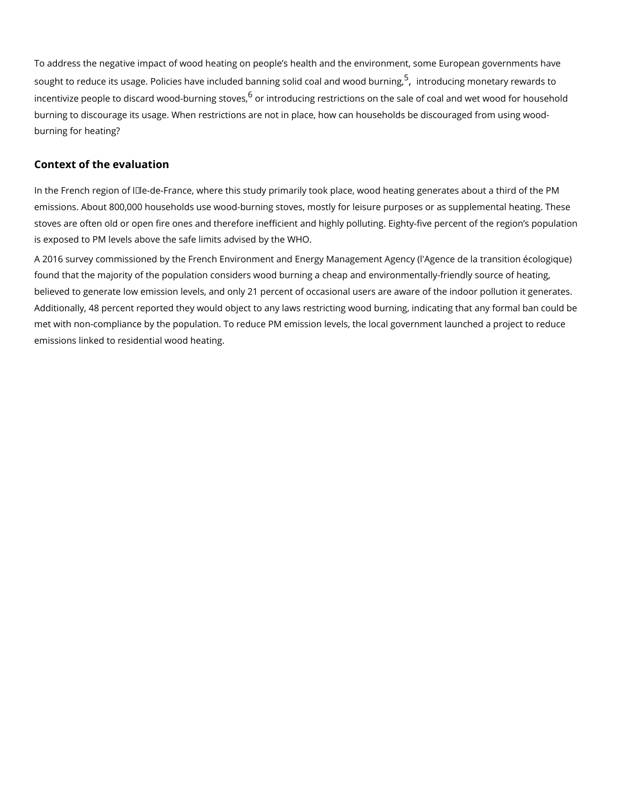To address the negative impact of wood heating on people s health and the environment, sought to reduce its usage. Policies have included bannin $^5$  $^5$ g isnothiodd colian gannol nweotady bruenwa ann gs incentivize people to discard woo $^6$  $^6$ dobuinntinogdusdionvgesrestrictions on the sale of coal and wet  $^{\circ}$ burning to discourage its usage. When restrictions are not in place, how can households b burning for heating?

#### Context of the evaluation

In the French region of I le-de-France, where this study primarily took place, wood heatin emissions. About 800,000 households use wood-burning stoves, mostly for leisure purpose stoves are often old or open fire ones and therefore inefficient and highly polluting. Eigh is exposed to PM levels above the safe limits advised by the WHO.

A 2016 survey commissioned by the French Environment and Energy Management Agency ( found that the majority of the population considers wood burning a cheap and environmen believed to generate low emission levels, and only 21 percent of occasional users are aw Additionally, 48 percent reported they would object to any laws restricting wood burning, met with non-compliance by the population. To reduce PM emission levels, the local gover emissions linked to residential wood heating.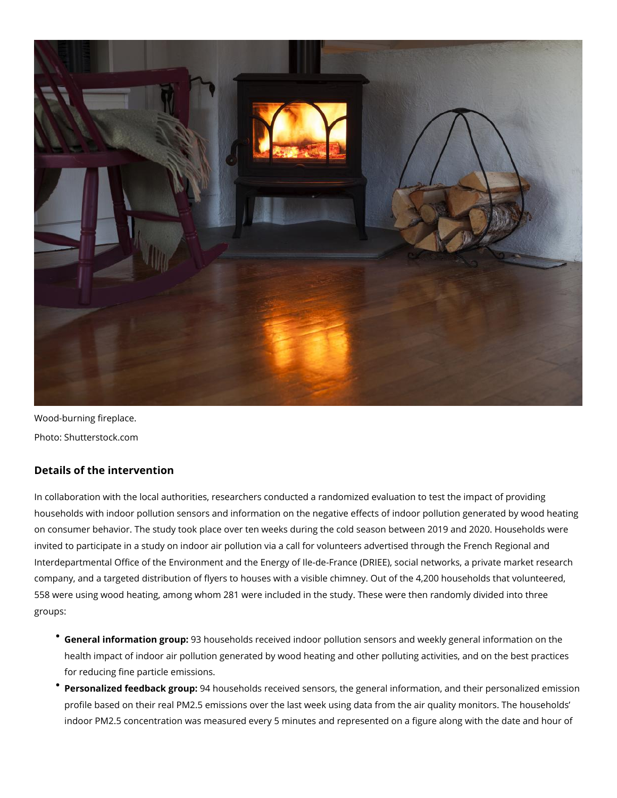

Wood-burning fireplace. Photo: Shutterstock.com

# **Details of the intervention**

In collaboration with the local authorities, researchers conducted a randomized evaluation to test the impact of providing households with indoor pollution sensors and information on the negative effects of indoor pollution generated by wood heating on consumer behavior. The study took place over ten weeks during the cold season between 2019 and 2020. Households were invited to participate in a study on indoor air pollution via a call for volunteers advertised through the French Regional and Interdepartmental Office of the Environment and the Energy of Ile-de-France (DRIEE), social networks, a private market research company, and a targeted distribution of flyers to houses with a visible chimney. Out of the 4,200 households that volunteered, 558 were using wood heating, among whom 281 were included in the study. These were then randomly divided into three groups:

- **General information group:** 93 households received indoor pollution sensors and weekly general information on the health impact of indoor air pollution generated by wood heating and other polluting activities, and on the best practices for reducing fine particle emissions.
- **Personalized feedback group:** 94 households received sensors, the general information, and their personalized emission profile based on their real PM2.5 emissions over the last week using data from the air quality monitors. The households' indoor PM2.5 concentration was measured every 5 minutes and represented on a figure along with the date and hour of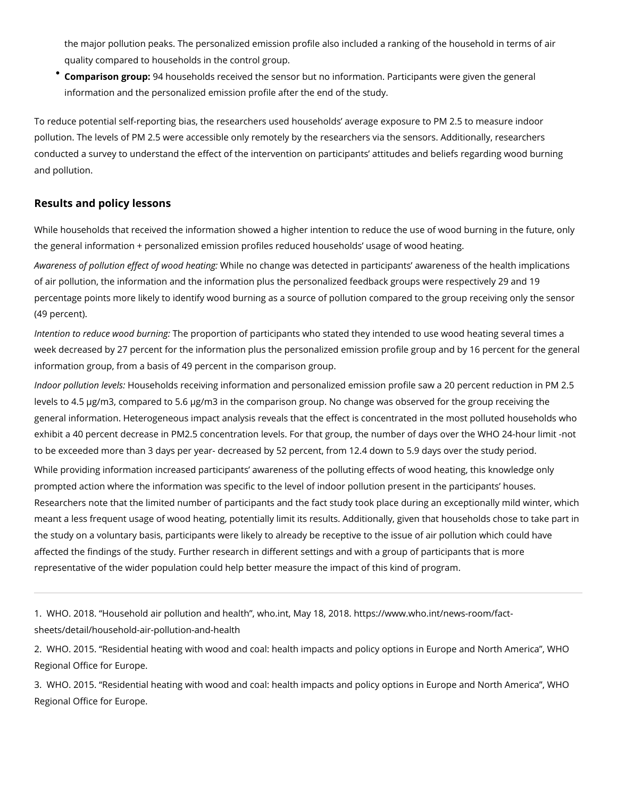<span id="page-3-0"></span>the major pollution peaks. The personalized emission profile also included a ranking of the household in terms of air quality compared to households in the control group.

**Comparison group:** 94 households received the sensor but no information. Participants were given the general information and the personalized emission profile after the end of the study.

To reduce potential self-reporting bias, the researchers used households' average exposure to PM 2.5 to measure indoor pollution. The levels of PM 2.5 were accessible only remotely by the researchers via the sensors. Additionally, researchers conducted a survey to understand the effect of the intervention on participants' attitudes and beliefs regarding wood burning and pollution.

### **Results and policy lessons**

While households that received the information showed a higher intention to reduce the use of wood burning in the future, only the general information + personalized emission profiles reduced households' usage of wood heating.

*Awareness of pollution effect of wood heating:* While no change was detected in participants' awareness of the health implications of air pollution, the information and the information plus the personalized feedback groups were respectively 29 and 19 percentage points more likely to identify wood burning as a source of pollution compared to the group receiving only the sensor (49 percent).

*Intention to reduce wood burning:* The proportion of participants who stated they intended to use wood heating several times a week decreased by 27 percent for the information plus the personalized emission profile group and by 16 percent for the general information group, from a basis of 49 percent in the comparison group.

*Indoor pollution levels:* Households receiving information and personalized emission profile saw a 20 percent reduction in PM 2.5 levels to 4.5 μg/m3, compared to 5.6 μg/m3 in the comparison group. No change was observed for the group receiving the general information. Heterogeneous impact analysis reveals that the effect is concentrated in the most polluted households who exhibit a 40 percent decrease in PM2.5 concentration levels. For that group, the number of days over the WHO 24-hour limit -not to be exceeded more than 3 days per year- decreased by 52 percent, from 12.4 down to 5.9 days over the study period. While providing information increased participants' awareness of the polluting effects of wood heating, this knowledge only prompted action where the information was specific to the level of indoor pollution present in the participants' houses. Researchers note that the limited number of participants and the fact study took place during an exceptionally mild winter, which meant a less frequent usage of wood heating, potentially limit its results. Additionally, given that households chose to take part in the study on a voluntary basis, participants were likely to already be receptive to the issue of air pollution which could have affected the findings of the study. Further research in different settings and with a group of participants that is more representative of the wider population could help better measure the impact of this kind of program.

1. WHO. 2018. "Household air pollution and health", who.int, May 18, 2018. https://www.who.int/news-room/factsheets/detail/household-air-pollution-and-health

2. WHO. 2015. "Residential heating with wood and coal: health impacts and policy options in Europe and North America", WHO Regional Office for Europe.

3. WHO. 2015. "Residential heating with wood and coal: health impacts and policy options in Europe and North America", WHO Regional Office for Europe.